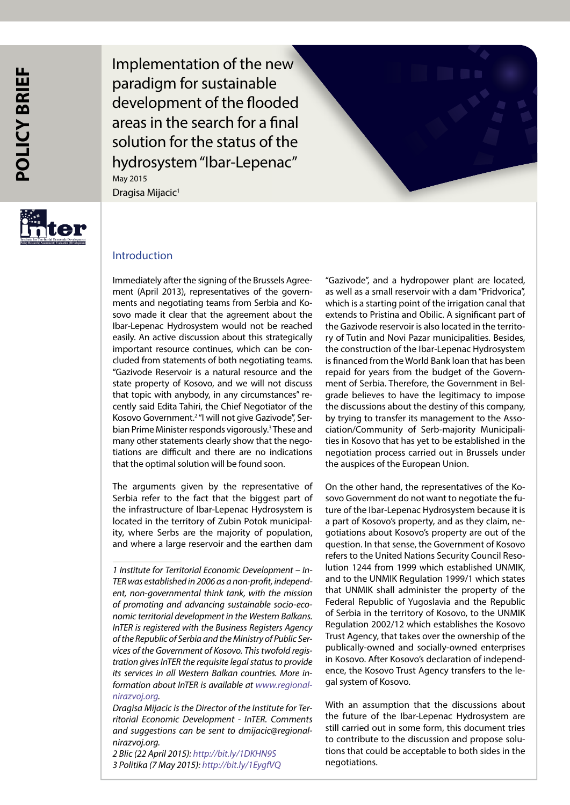Implementation of the new paradigm for sustainable development of the flooded areas in the search for a final solution for the status of the hydrosystem "Ibar-Lepenac" Dragisa Mijacic<sup>1</sup> May 2015



# Introduction

Immediately after the signing of the Brussels Agreement (April 2013), representatives of the governments and negotiating teams from Serbia and Kosovo made it clear that the agreement about the Ibar-Lepenac Hydrosystem would not be reached easily. An active discussion about this strategically important resource continues, which can be concluded from statements of both negotiating teams. "Gazivode Reservoir is a natural resource and the state property of Kosovo, and we will not discuss that topic with anybody, in any circumstances" recently said Edita Tahiri, the Chief Negotiator of the Kosovo Government.<sup>2</sup> "I will not give Gazivode", Serbian Prime Minister responds vigorously.3 These and many other statements clearly show that the negotiations are difficult and there are no indications that the optimal solution will be found soon.

The arguments given by the representative of Serbia refer to the fact that the biggest part of the infrastructure of Ibar-Lepenac Hydrosystem is located in the territory of Zubin Potok municipality, where Serbs are the majority of population, and where a large reservoir and the earthen dam

*2 Blic (22 April 2015): <http://bit.ly/1DKHN9S> 3 Politika (7 May 2015):<http://bit.ly/1EygfVQ>*

"Gazivode", and a hydropower plant are located, as well as a small reservoir with a dam "Pridvorica", which is a starting point of the irrigation canal that extends to Pristina and Obilic. A significant part of the Gazivode reservoir is also located in the territory of Tutin and Novi Pazar municipalities. Besides, the construction of the Ibar-Lepenac Hydrosystem is financed from the World Bank loan that has been repaid for years from the budget of the Government of Serbia. Therefore, the Government in Belgrade believes to have the legitimacy to impose the discussions about the destiny of this company, by trying to transfer its management to the Association/Community of Serb-majority Municipalities in Kosovo that has yet to be established in the negotiation process carried out in Brussels under the auspices of the European Union.

On the other hand, the representatives of the Kosovo Government do not want to negotiate the future of the Ibar-Lepenac Hydrosystem because it is a part of Kosovo's property, and as they claim, negotiations about Kosovo's property are out of the question. In that sense, the Government of Kosovo refers to the United Nations Security Council Resolution 1244 from 1999 which established UNMIK, and to the UNMIK Regulation 1999/1 which states that UNMIK shall administer the property of the Federal Republic of Yugoslavia and the Republic of Serbia in the territory of Kosovo, to the UNMIK Regulation 2002/12 which establishes the Kosovo Trust Agency, that takes over the ownership of the publically-owned and socially-owned enterprises in Kosovo. After Kosovo's declaration of independence, the Kosovo Trust Agency transfers to the legal system of Kosovo.

With an assumption that the discussions about the future of the Ibar-Lepenac Hydrosystem are still carried out in some form, this document tries to contribute to the discussion and propose solutions that could be acceptable to both sides in the negotiations.

*<sup>1</sup> Institute for Territorial Economic Development – In-TER was established in 2006 as a non-profit, independent, non-governmental think tank, with the mission of promoting and advancing sustainable socio-economic territorial development in the Western Balkans. InTER is registered with the Business Registers Agency of the Republic of Serbia and the Ministry of Public Services of the Government of Kosovo. This twofold registration gives InTER the requisite legal status to provide its services in all Western Balkan countries. More information about InTER is available at [www.regional](www.regionalnirazvoj.org)[nirazvoj.org](www.regionalnirazvoj.org).*

*Dragisa Mijacic is the Director of the Institute for Territorial Economic Development - InTER. Comments and suggestions can be sent to dmijacic@regionalnirazvoj.org.*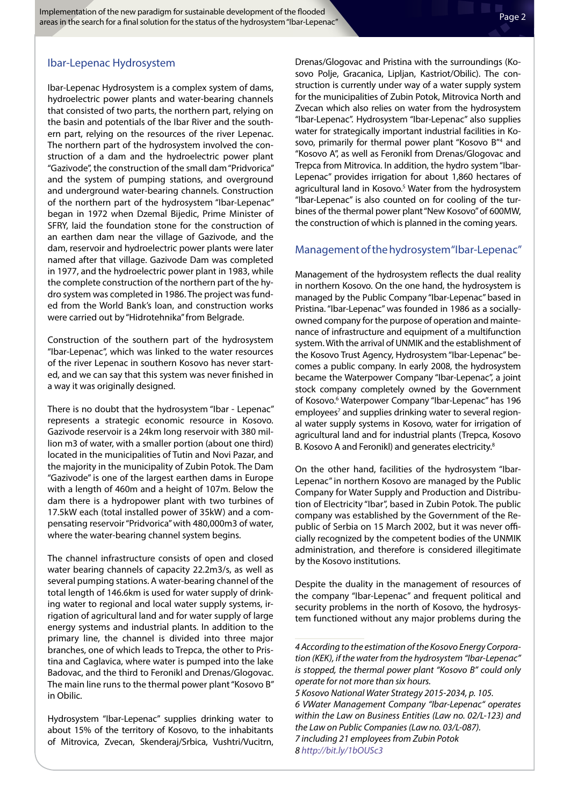# Ibar-Lepenac Hydrosystem

Ibar-Lepenac Hydrosystem is a complex system of dams, hydroelectric power plants and water-bearing channels that consisted of two parts, the northern part, relying on the basin and potentials of the Ibar River and the southern part, relying on the resources of the river Lepenac. The northern part of the hydrosystem involved the construction of a dam and the hydroelectric power plant "Gazivode", the construction of the small dam "Pridvorica" and the system of pumping stations, and overground and underground water-bearing channels. Construction of the northern part of the hydrosystem "Ibar-Lepenac" began in 1972 when Dzemal Bijedic, Prime Minister of SFRY, laid the foundation stone for the construction of an earthen dam near the village of Gazivode, and the dam, reservoir and hydroelectric power plants were later named after that village. Gazivode Dam was completed in 1977, and the hydroelectric power plant in 1983, while the complete construction of the northern part of the hydro system was completed in 1986. The project was funded from the World Bank's loan, and construction works were carried out by "Hidrotehnika" from Belgrade.

Construction of the southern part of the hydrosystem "Ibar-Lepenac", which was linked to the water resources of the river Lepenac in southern Kosovo has never started, and we can say that this system was never finished in a way it was originally designed.

There is no doubt that the hydrosystem "Ibar - Lepenac" represents a strategic economic resource in Kosovo. Gazivode reservoir is a 24km long reservoir with 380 million m3 of water, with a smaller portion (about one third) located in the municipalities of Tutin and Novi Pazar, and the majority in the municipality of Zubin Potok. The Dam "Gazivode" is one of the largest earthen dams in Europe with a length of 460m and a height of 107m. Below the dam there is a hydropower plant with two turbines of 17.5kW each (total installed power of 35kW) and a compensating reservoir "Pridvorica" with 480,000m3 of water, where the water-bearing channel system begins.

The channel infrastructure consists of open and closed water bearing channels of capacity 22.2m3/s, as well as several pumping stations. A water-bearing channel of the total length of 146.6km is used for water supply of drinking water to regional and local water supply systems, irrigation of agricultural land and for water supply of large energy systems and industrial plants. In addition to the primary line, the channel is divided into three major branches, one of which leads to Trepca, the other to Pristina and Caglavica, where water is pumped into the lake Badovac, and the third to Feronikl and Drenas/Glogovac. The main line runs to the thermal power plant "Kosovo B" in Obilic.

Hydrosystem "Ibar-Lepenac" supplies drinking water to about 15% of the territory of Kosovo, to the inhabitants of Mitrovica, Zvecan, Skenderaj/Srbica, Vushtri/Vucitrn, Drenas/Glogovac and Pristina with the surroundings (Kosovo Polje, Gracanica, Lipljan, Kastriot/Obilic). The construction is currently under way of a water supply system for the municipalities of Zubin Potok, Mitrovica North and Zvecan which also relies on water from the hydrosystem "Ibar-Lepenac". Hydrosystem "Ibar-Lepenac" also supplies water for strategically important industrial facilities in Kosovo, primarily for thermal power plant "Kosovo B"<sup>4</sup> and "Kosovo A", as well as Feronikl from Drenas/Glogovac and Trepca from Mitrovica. In addition, the hydro system "Ibar-Lepenac" provides irrigation for about 1,860 hectares of agricultural land in Kosovo.<sup>5</sup> Water from the hydrosystem "Ibar-Lepenac" is also counted on for cooling of the turbines of the thermal power plant "New Kosovo" of 600MW, the construction of which is planned in the coming years.

### Management of the hydrosystem "Ibar-Lepenac"

Management of the hydrosystem reflects the dual reality in northern Kosovo. On the one hand, the hydrosystem is managed by the Public Company "Ibar-Lepenac" based in Pristina. "Ibar-Lepenac" was founded in 1986 as a sociallyowned company for the purpose of operation and maintenance of infrastructure and equipment of a multifunction system. With the arrival of UNMIK and the establishment of the Kosovo Trust Agency, Hydrosystem "Ibar-Lepenac" becomes a public company. In early 2008, the hydrosystem became the Waterpower Company "Ibar-Lepenac", a joint stock company completely owned by the Government of Kosovo.<sup>6</sup> Waterpower Company "Ibar-Lepenac" has 196 employees<sup>7</sup> and supplies drinking water to several regional water supply systems in Kosovo, water for irrigation of agricultural land and for industrial plants (Trepca, Kosovo B. Kosovo A and Feronikl) and generates electricity.<sup>8</sup>

On the other hand, facilities of the hydrosystem "Ibar-Lepenac" in northern Kosovo are managed by the Public Company for Water Supply and Production and Distribution of Electricity "Ibar", based in Zubin Potok. The public company was established by the Government of the Republic of Serbia on 15 March 2002, but it was never officially recognized by the competent bodies of the UNMIK administration, and therefore is considered illegitimate by the Kosovo institutions.

Despite the duality in the management of resources of the company "Ibar-Lepenac" and frequent political and security problems in the north of Kosovo, the hydrosystem functioned without any major problems during the

*<sup>4</sup> According to the estimation of the Kosovo Energy Corporation (KEK), if the water from the hydrosystem "Ibar-Lepenac" is stopped, the thermal power plant "Kosovo B" could only operate for not more than six hours.*

*<sup>5</sup> Kosovo National Water Strategy 2015-2034, p. 105. 6 VWater Management Company "Ibar-Lepenac" operates within the Law on Business Entities (Law no. 02/L-123) and the Law on Public Companies (Law no. 03/L-087). 7 including 21 employees from Zubin Potok 8<http://bit.ly/1bOUSc3>*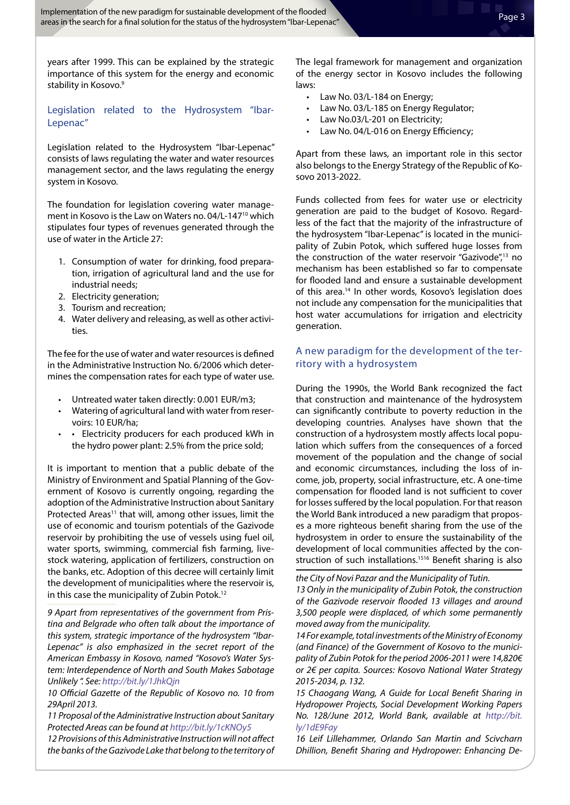years after 1999. This can be explained by the strategic importance of this system for the energy and economic stability in Kosovo.<sup>9</sup>

## Legislation related to the Hydrosystem "Ibar-Lepenac"

Legislation related to the Hydrosystem "Ibar-Lepenac" consists of laws regulating the water and water resources management sector, and the laws regulating the energy system in Kosovo.

The foundation for legislation covering water management in Kosovo is the Law on Waters no. 04/L-147<sup>10</sup> which stipulates four types of revenues generated through the use of water in the Article 27:

- 1. Consumption of water for drinking, food preparation, irrigation of agricultural land and the use for industrial needs;
- 2. Electricity generation;
- 3. Tourism and recreation;
- 4. Water delivery and releasing, as well as other activities.

The fee for the use of water and water resources is defined in the Administrative Instruction No. 6/2006 which determines the compensation rates for each type of water use.

- • Untreated water taken directly: 0.001 EUR/m3;
- • Watering of agricultural land with water from reservoirs: 10 EUR/ha;
- • Electricity producers for each produced kWh in the hydro power plant: 2.5% from the price sold;

It is important to mention that a public debate of the Ministry of Environment and Spatial Planning of the Government of Kosovo is currently ongoing, regarding the adoption of the Administrative Instruction about Sanitary Protected Areas<sup>11</sup> that will, among other issues, limit the use of economic and tourism potentials of the Gazivode reservoir by prohibiting the use of vessels using fuel oil, water sports, swimming, commercial fish farming, livestock watering, application of fertilizers, construction on the banks, etc. Adoption of this decree will certainly limit the development of municipalities where the reservoir is, in this case the municipality of Zubin Potok.<sup>12</sup>

*9 Apart from representatives of the government from Pristina and Belgrade who often talk about the importance of this system, strategic importance of the hydrosystem "Ibar-Lepenac" is also emphasized in the secret report of the American Embassy in Kosovo, named "Kosovo's Water System: Interdependence of North and South Makes Sabotage Unlikely ". See: <http://bit.ly/1JhkQjn>*

*10 Official Gazette of the Republic of Kosovo no. 10 from 29April 2013.*

*11 Proposal of the Administrative Instruction about Sanitary Protected Areas can be found at <http://bit.ly/1cKNOy5>*

*12 Provisions of this Administrative Instruction will not affect the banks of the Gazivode Lake that belong to the territory of*  The legal framework for management and organization of the energy sector in Kosovo includes the following laws:

- Law No. 03/L-184 on Energy;
- Law No. 03/L-185 on Energy Regulator;
- Law No.03/L-201 on Electricity;
- Law No. 04/L-016 on Energy Efficiency;

Apart from these laws, an important role in this sector also belongs to the Energy Strategy of the Republic of Kosovo 2013-2022.

Funds collected from fees for water use or electricity generation are paid to the budget of Kosovo. Regardless of the fact that the majority of the infrastructure of the hydrosystem "Ibar-Lepenac" is located in the municipality of Zubin Potok, which suffered huge losses from the construction of the water reservoir "Gazivode",<sup>13</sup> no mechanism has been established so far to compensate for flooded land and ensure a sustainable development of this area.<sup>14</sup> In other words, Kosovo's legislation does not include any compensation for the municipalities that host water accumulations for irrigation and electricity generation.

### A new paradigm for the development of the territory with a hydrosystem

During the 1990s, the World Bank recognized the fact that construction and maintenance of the hydrosystem can significantly contribute to poverty reduction in the developing countries. Analyses have shown that the construction of a hydrosystem mostly affects local population which suffers from the consequences of a forced movement of the population and the change of social and economic circumstances, including the loss of income, job, property, social infrastructure, etc. A one-time compensation for flooded land is not sufficient to cover for losses suffered by the local population. For that reason the World Bank introduced a new paradigm that proposes a more righteous benefit sharing from the use of the hydrosystem in order to ensure the sustainability of the development of local communities affected by the construction of such installations.<sup>1516</sup> Benefit sharing is also

*the City of Novi Pazar and the Municipality of Tutin. 13 Only in the municipality of Zubin Potok, the construction of the Gazivode reservoir flooded 13 villages and around 3,500 people were displaced, of which some permanently moved away from the municipality.*

*14 For example, total investments of the Ministry of Economy (and Finance) of the Government of Kosovo to the municipality of Zubin Potok for the period 2006-2011 were 14,820€ or 2€ per capita. Sources: Kosovo National Water Strategy 2015-2034, p. 132.*

*15 Chaogang Wang, A Guide for Local Benefit Sharing in Hydropower Projects, Social Development Working Papers No. 128/June 2012, World Bank, available at [http://bit.](http://bit.ly/1dE9Fay) [ly/1dE9Fay](http://bit.ly/1dE9Fay)*

*16 Leif Lillehammer, Orlando San Martin and Scivcharn Dhillion, Benefit Sharing and Hydropower: Enhancing De-*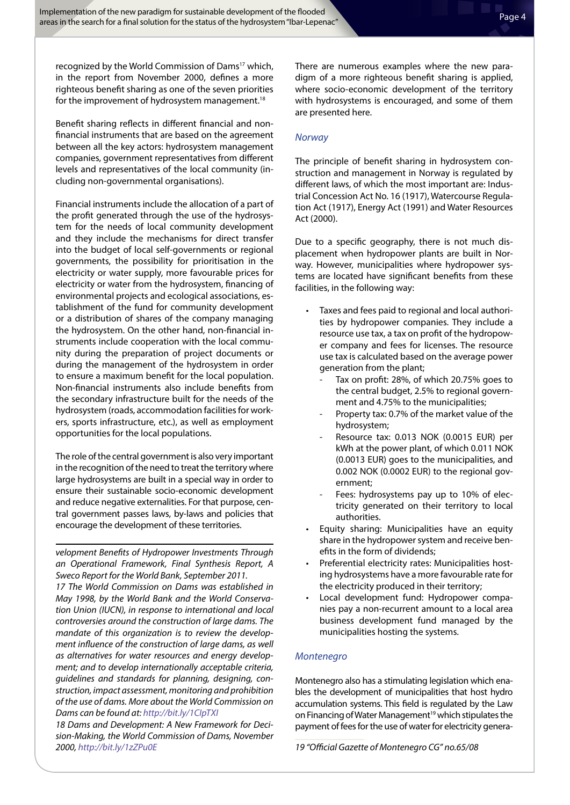recognized by the World Commission of Dams<sup>17</sup> which, in the report from November 2000, defines a more righteous benefit sharing as one of the seven priorities for the improvement of hydrosystem management.<sup>18</sup>

Benefit sharing reflects in different financial and nonfinancial instruments that are based on the agreement between all the key actors: hydrosystem management companies, government representatives from different levels and representatives of the local community (including non-governmental organisations).

Financial instruments include the allocation of a part of the profit generated through the use of the hydrosystem for the needs of local community development and they include the mechanisms for direct transfer into the budget of local self-governments or regional governments, the possibility for prioritisation in the electricity or water supply, more favourable prices for electricity or water from the hydrosystem, financing of environmental projects and ecological associations, establishment of the fund for community development or a distribution of shares of the company managing the hydrosystem. On the other hand, non-financial instruments include cooperation with the local community during the preparation of project documents or during the management of the hydrosystem in order to ensure a maximum benefit for the local population. Non-financial instruments also include benefits from the secondary infrastructure built for the needs of the hydrosystem (roads, accommodation facilities for workers, sports infrastructure, etc.), as well as employment opportunities for the local populations.

The role of the central government is also very important in the recognition of the need to treat the territory where large hydrosystems are built in a special way in order to ensure their sustainable socio-economic development and reduce negative externalities. For that purpose, central government passes laws, by-laws and policies that encourage the development of these territories.

*velopment Benefits of Hydropower Investments Through an Operational Framework, Final Synthesis Report, A Sweco Report for the World Bank, September 2011.*

*17 The World Commission on Dams was established in May 1998, by the World Bank and the World Conservation Union (IUCN), in response to international and local controversies around the construction of large dams. The mandate of this organization is to review the development influence of the construction of large dams, as well as alternatives for water resources and energy development; and to develop internationally acceptable criteria, guidelines and standards for planning, designing, construction, impact assessment, monitoring and prohibition of the use of dams. More about the World Commission on Dams can be found at: <http://bit.ly/1CIpTXI>*

*18 Dams and Development: A New Framework for Decision-Making, the World Commission of Dams, November 2000, <http://bit.ly/1zZPu0E>*

There are numerous examples where the new paradigm of a more righteous benefit sharing is applied, where socio-economic development of the territory with hydrosystems is encouraged, and some of them are presented here.

### *Norway*

The principle of benefit sharing in hydrosystem construction and management in Norway is regulated by different laws, of which the most important are: Industrial Concession Act No. 16 (1917), Watercourse Regulation Act (1917), Energy Act (1991) and Water Resources Act (2000).

Due to a specific geography, there is not much displacement when hydropower plants are built in Norway. However, municipalities where hydropower systems are located have significant benefits from these facilities, in the following way:

- Taxes and fees paid to regional and local authorities by hydropower companies. They include a resource use tax, a tax on profit of the hydropower company and fees for licenses. The resource use tax is calculated based on the average power generation from the plant;
	- Tax on profit: 28%, of which 20.75% goes to the central budget, 2.5% to regional government and 4.75% to the municipalities;
	- Property tax: 0.7% of the market value of the hydrosystem;
- Resource tax: 0.013 NOK (0.0015 EUR) per kWh at the power plant, of which 0.011 NOK (0.0013 EUR) goes to the municipalities, and 0.002 NOK (0.0002 EUR) to the regional government;
- Fees: hydrosystems pay up to 10% of electricity generated on their territory to local authorities.
- • Equity sharing: Municipalities have an equity share in the hydropower system and receive benefits in the form of dividends;
- Preferential electricity rates: Municipalities hosting hydrosystems have a more favourable rate for the electricity produced in their territory;
- Local development fund: Hydropower companies pay a non-recurrent amount to a local area business development fund managed by the municipalities hosting the systems.

### *Montenegro*

Montenegro also has a stimulating legislation which enables the development of municipalities that host hydro accumulation systems. This field is regulated by the Law on Financing of Water Management<sup>19</sup> which stipulates the payment of fees for the use of water for electricity genera-

*19 "Official Gazette of Montenegro CG" no.65/08*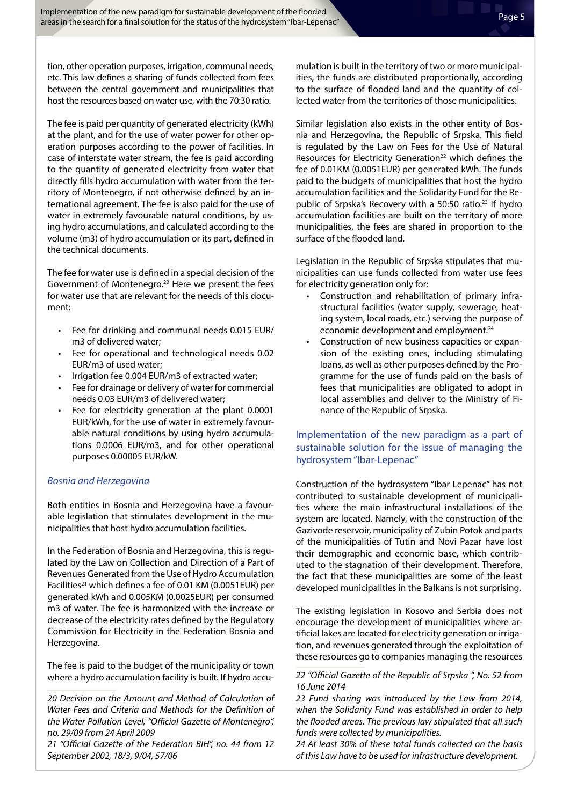tion, other operation purposes, irrigation, communal needs, etc. This law defines a sharing of funds collected from fees between the central government and municipalities that host the resources based on water use, with the 70:30 ratio.

The fee is paid per quantity of generated electricity (kWh) at the plant, and for the use of water power for other operation purposes according to the power of facilities. In case of interstate water stream, the fee is paid according to the quantity of generated electricity from water that directly fills hydro accumulation with water from the territory of Montenegro, if not otherwise defined by an international agreement. The fee is also paid for the use of water in extremely favourable natural conditions, by using hydro accumulations, and calculated according to the volume (m3) of hydro accumulation or its part, defined in the technical documents.

The fee for water use is defined in a special decision of the Government of Montenegro.<sup>20</sup> Here we present the fees for water use that are relevant for the needs of this document:

- Fee for drinking and communal needs 0.015 EUR/ m3 of delivered water;
- Fee for operational and technological needs 0.02 EUR/m3 of used water;
- Irrigation fee 0.004 EUR/m3 of extracted water;
- • Fee for drainage or delivery of water for commercial needs 0.03 EUR/m3 of delivered water;
- • Fee for electricity generation at the plant 0.0001 EUR/kWh, for the use of water in extremely favourable natural conditions by using hydro accumulations 0.0006 EUR/m3, and for other operational purposes 0.00005 EUR/kW.

#### *Bosnia and Herzegovina*

Both entities in Bosnia and Herzegovina have a favourable legislation that stimulates development in the municipalities that host hydro accumulation facilities.

In the Federation of Bosnia and Herzegovina, this is regulated by the Law on Collection and Direction of a Part of Revenues Generated from the Use of Hydro Accumulation Facilities<sup>21</sup> which defines a fee of 0.01 KM (0.0051EUR) per generated kWh and 0.005KM (0.0025EUR) per consumed m3 of water. The fee is harmonized with the increase or decrease of the electricity rates defined by the Regulatory Commission for Electricity in the Federation Bosnia and Herzegovina.

The fee is paid to the budget of the municipality or town where a hydro accumulation facility is built. If hydro accu-

*21 "Official Gazette of the Federation BIH", no. 44 from 12 September 2002, 18/3, 9/04, 57/06*

mulation is built in the territory of two or more municipalities, the funds are distributed proportionally, according to the surface of flooded land and the quantity of collected water from the territories of those municipalities.

Similar legislation also exists in the other entity of Bosnia and Herzegovina, the Republic of Srpska. This field is regulated by the Law on Fees for the Use of Natural Resources for Electricity Generation<sup>22</sup> which defines the fee of 0.01KM (0.0051EUR) per generated kWh. The funds paid to the budgets of municipalities that host the hydro accumulation facilities and the Solidarity Fund for the Republic of Srpska's Recovery with a 50:50 ratio.<sup>23</sup> If hydro accumulation facilities are built on the territory of more municipalities, the fees are shared in proportion to the surface of the flooded land.

Legislation in the Republic of Srpska stipulates that municipalities can use funds collected from water use fees for electricity generation only for:

- • Construction and rehabilitation of primary infrastructural facilities (water supply, sewerage, heating system, local roads, etc.) serving the purpose of economic development and employment.<sup>24</sup>
- Construction of new business capacities or expansion of the existing ones, including stimulating loans, as well as other purposes defined by the Programme for the use of funds paid on the basis of fees that municipalities are obligated to adopt in local assemblies and deliver to the Ministry of Finance of the Republic of Srpska.

## Implementation of the new paradigm as a part of sustainable solution for the issue of managing the hydrosystem "Ibar-Lepenac"

Construction of the hydrosystem "Ibar Lepenac" has not contributed to sustainable development of municipalities where the main infrastructural installations of the system are located. Namely, with the construction of the Gazivode reservoir, municipality of Zubin Potok and parts of the municipalities of Tutin and Novi Pazar have lost their demographic and economic base, which contributed to the stagnation of their development. Therefore, the fact that these municipalities are some of the least developed municipalities in the Balkans is not surprising.

The existing legislation in Kosovo and Serbia does not encourage the development of municipalities where artificial lakes are located for electricity generation or irrigation, and revenues generated through the exploitation of these resources go to companies managing the resources

*<sup>20</sup> Decision on the Amount and Method of Calculation of Water Fees and Criteria and Methods for the Definition of the Water Pollution Level, "Official Gazette of Montenegro", no. 29/09 from 24 April 2009*

*<sup>22 &</sup>quot;Official Gazette of the Republic of Srpska ", No. 52 from 16 June 2014*

*<sup>23</sup> Fund sharing was introduced by the Law from 2014, when the Solidarity Fund was established in order to help the flooded areas. The previous law stipulated that all such funds were collected by municipalities.*

*<sup>24</sup> At least 30% of these total funds collected on the basis of this Law have to be used for infrastructure development.*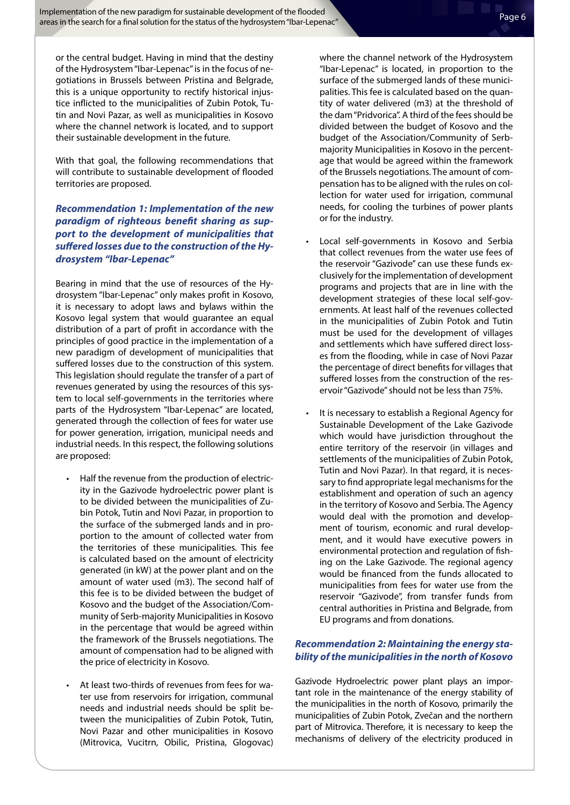or the central budget. Having in mind that the destiny of the Hydrosystem "Ibar-Lepenac" is in the focus of negotiations in Brussels between Pristina and Belgrade, this is a unique opportunity to rectify historical injustice inflicted to the municipalities of Zubin Potok, Tutin and Novi Pazar, as well as municipalities in Kosovo where the channel network is located, and to support their sustainable development in the future.

With that goal, the following recommendations that will contribute to sustainable development of flooded territories are proposed.

## *Recommendation 1: Implementation of the new paradigm of righteous benefit sharing as support to the development of municipalities that suffered losses due to the construction of the Hydrosystem "Ibar-Lepenac"*

Bearing in mind that the use of resources of the Hydrosystem "Ibar-Lepenac" only makes profit in Kosovo, it is necessary to adopt laws and bylaws within the Kosovo legal system that would guarantee an equal distribution of a part of profit in accordance with the principles of good practice in the implementation of a new paradigm of development of municipalities that suffered losses due to the construction of this system. This legislation should regulate the transfer of a part of revenues generated by using the resources of this system to local self-governments in the territories where parts of the Hydrosystem "Ibar-Lepenac" are located, generated through the collection of fees for water use for power generation, irrigation, municipal needs and industrial needs. In this respect, the following solutions are proposed:

- Half the revenue from the production of electricity in the Gazivode hydroelectric power plant is to be divided between the municipalities of Zubin Potok, Tutin and Novi Pazar, in proportion to the surface of the submerged lands and in proportion to the amount of collected water from the territories of these municipalities. This fee is calculated based on the amount of electricity generated (in kW) at the power plant and on the amount of water used (m3). The second half of this fee is to be divided between the budget of Kosovo and the budget of the Association/Community of Serb-majority Municipalities in Kosovo in the percentage that would be agreed within the framework of the Brussels negotiations. The amount of compensation had to be aligned with the price of electricity in Kosovo.
- At least two-thirds of revenues from fees for water use from reservoirs for irrigation, communal needs and industrial needs should be split between the municipalities of Zubin Potok, Tutin, Novi Pazar and other municipalities in Kosovo (Mitrovica, Vucitrn, Obilic, Pristina, Glogovac)

where the channel network of the Hydrosystem "Ibar-Lepenac" is located, in proportion to the surface of the submerged lands of these municipalities. This fee is calculated based on the quantity of water delivered (m3) at the threshold of the dam "Pridvorica". A third of the fees should be divided between the budget of Kosovo and the budget of the Association/Community of Serbmajority Municipalities in Kosovo in the percentage that would be agreed within the framework of the Brussels negotiations. The amount of compensation has to be aligned with the rules on collection for water used for irrigation, communal needs, for cooling the turbines of power plants or for the industry.

- Local self-governments in Kosovo and Serbia that collect revenues from the water use fees of the reservoir "Gazivode" can use these funds exclusively for the implementation of development programs and projects that are in line with the development strategies of these local self-governments. At least half of the revenues collected in the municipalities of Zubin Potok and Tutin must be used for the development of villages and settlements which have suffered direct losses from the flooding, while in case of Novi Pazar the percentage of direct benefits for villages that suffered losses from the construction of the reservoir "Gazivode" should not be less than 75%.
- • It is necessary to establish a Regional Agency for Sustainable Development of the Lake Gazivode which would have jurisdiction throughout the entire territory of the reservoir (in villages and settlements of the municipalities of Zubin Potok, Tutin and Novi Pazar). In that regard, it is necessary to find appropriate legal mechanisms for the establishment and operation of such an agency in the territory of Kosovo and Serbia. The Agency would deal with the promotion and development of tourism, economic and rural development, and it would have executive powers in environmental protection and regulation of fishing on the Lake Gazivode. The regional agency would be financed from the funds allocated to municipalities from fees for water use from the reservoir "Gazivode", from transfer funds from central authorities in Pristina and Belgrade, from EU programs and from donations.

### *Recommendation 2: Maintaining the energy stability of the municipalities in the north of Kosovo*

Gazivode Hydroelectric power plant plays an important role in the maintenance of the energy stability of the municipalities in the north of Kosovo, primarily the municipalities of Zubin Potok, Zvečan and the northern part of Mitrovica. Therefore, it is necessary to keep the mechanisms of delivery of the electricity produced in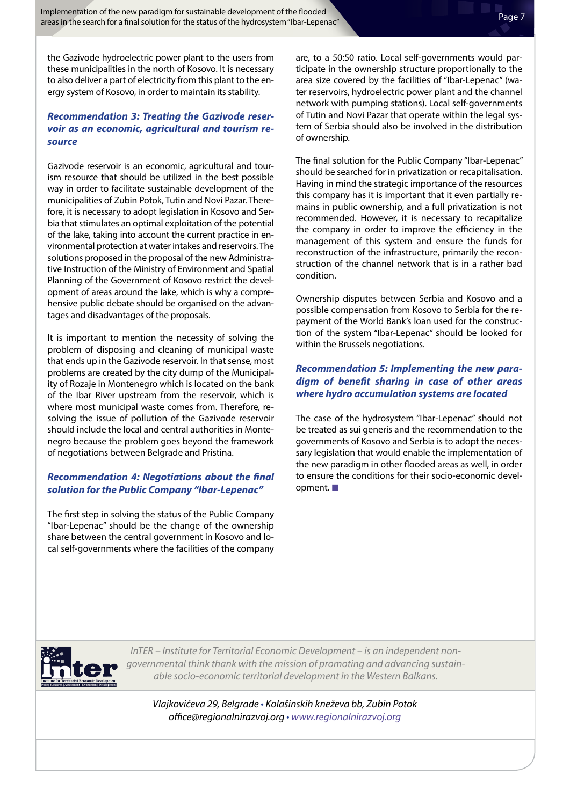the Gazivode hydroelectric power plant to the users from these municipalities in the north of Kosovo. It is necessary to also deliver a part of electricity from this plant to the energy system of Kosovo, in order to maintain its stability.

# *Recommendation 3: Treating the Gazivode reservoir as an economic, agricultural and tourism resource*

Gazivode reservoir is an economic, agricultural and tourism resource that should be utilized in the best possible way in order to facilitate sustainable development of the municipalities of Zubin Potok, Tutin and Novi Pazar. Therefore, it is necessary to adopt legislation in Kosovo and Serbia that stimulates an optimal exploitation of the potential of the lake, taking into account the current practice in environmental protection at water intakes and reservoirs. The solutions proposed in the proposal of the new Administrative Instruction of the Ministry of Environment and Spatial Planning of the Government of Kosovo restrict the development of areas around the lake, which is why a comprehensive public debate should be organised on the advantages and disadvantages of the proposals.

It is important to mention the necessity of solving the problem of disposing and cleaning of municipal waste that ends up in the Gazivode reservoir. In that sense, most problems are created by the city dump of the Municipality of Rozaje in Montenegro which is located on the bank of the Ibar River upstream from the reservoir, which is where most municipal waste comes from. Therefore, resolving the issue of pollution of the Gazivode reservoir should include the local and central authorities in Montenegro because the problem goes beyond the framework of negotiations between Belgrade and Pristina.

# *Recommendation 4: Negotiations about the final solution for the Public Company "Ibar-Lepenac"*

The first step in solving the status of the Public Company "Ibar-Lepenac" should be the change of the ownership share between the central government in Kosovo and local self-governments where the facilities of the company

are, to a 50:50 ratio. Local self-governments would participate in the ownership structure proportionally to the area size covered by the facilities of "Ibar-Lepenac" (water reservoirs, hydroelectric power plant and the channel network with pumping stations). Local self-governments of Tutin and Novi Pazar that operate within the legal system of Serbia should also be involved in the distribution of ownership.

The final solution for the Public Company "Ibar-Lepenac" should be searched for in privatization or recapitalisation. Having in mind the strategic importance of the resources this company has it is important that it even partially remains in public ownership, and a full privatization is not recommended. However, it is necessary to recapitalize the company in order to improve the efficiency in the management of this system and ensure the funds for reconstruction of the infrastructure, primarily the reconstruction of the channel network that is in a rather bad condition.

Ownership disputes between Serbia and Kosovo and a possible compensation from Kosovo to Serbia for the repayment of the World Bank's loan used for the construction of the system "Ibar-Lepenac" should be looked for within the Brussels negotiations.

# *Recommendation 5: Implementing the new paradigm of benefit sharing in case of other areas where hydro accumulation systems are located*

The case of the hydrosystem "Ibar-Lepenac" should not be treated as sui generis and the recommendation to the governments of Kosovo and Serbia is to adopt the necessary legislation that would enable the implementation of the new paradigm in other flooded areas as well, in order to ensure the conditions for their socio-economic development.  $\blacksquare$ 



*InTER – Institute for Territorial Economic Development – is an independent nongovernmental think thank with the mission of promoting and advancing sustainable socio-economic territorial development in the Western Balkans.*

*Vlajkovićeva 29, Belgrade* • *Kolašinskih kneževa bb, Zubin Potok office@regionalnirazvoj.org* • *www.regionalnirazvoj.org*